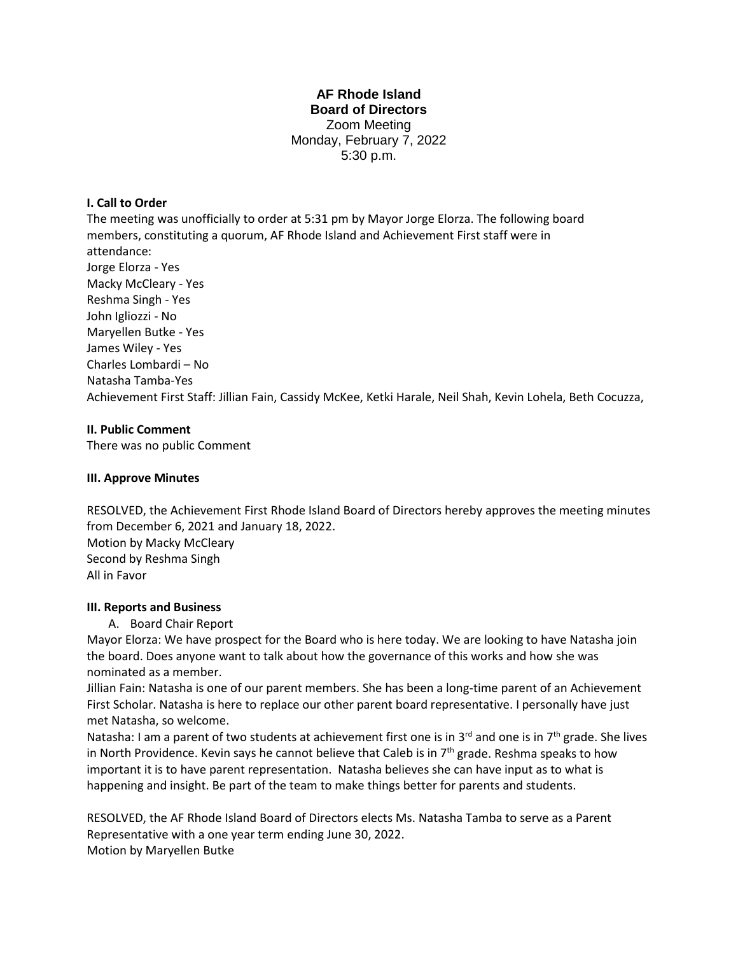# **AF Rhode Island Board of Directors** Zoom Meeting Monday, February 7, 2022 5:30 p.m.

## **I. Call to Order**

The meeting was unofficially to order at 5:31 pm by Mayor Jorge Elorza. The following board members, constituting a quorum, AF Rhode Island and Achievement First staff were in attendance: Jorge Elorza - Yes Macky McCleary - Yes Reshma Singh - Yes John Igliozzi - No Maryellen Butke - Yes James Wiley - Yes Charles Lombardi – No Natasha Tamba-Yes Achievement First Staff: Jillian Fain, Cassidy McKee, Ketki Harale, Neil Shah, Kevin Lohela, Beth Cocuzza,

## **II. Public Comment**

There was no public Comment

## **III. Approve Minutes**

RESOLVED, the Achievement First Rhode Island Board of Directors hereby approves the meeting minutes from December 6, 2021 and January 18, 2022. Motion by Macky McCleary Second by Reshma Singh All in Favor

## **III. Reports and Business**

A. Board Chair Report

Mayor Elorza: We have prospect for the Board who is here today. We are looking to have Natasha join the board. Does anyone want to talk about how the governance of this works and how she was nominated as a member.

Jillian Fain: Natasha is one of our parent members. She has been a long-time parent of an Achievement First Scholar. Natasha is here to replace our other parent board representative. I personally have just met Natasha, so welcome.

Natasha: I am a parent of two students at achievement first one is in  $3^{rd}$  and one is in  $7^{th}$  grade. She lives in North Providence. Kevin says he cannot believe that Caleb is in  $7<sup>th</sup>$  grade. Reshma speaks to how important it is to have parent representation. Natasha believes she can have input as to what is happening and insight. Be part of the team to make things better for parents and students.

RESOLVED, the AF Rhode Island Board of Directors elects Ms. Natasha Tamba to serve as a Parent Representative with a one year term ending June 30, 2022. Motion by Maryellen Butke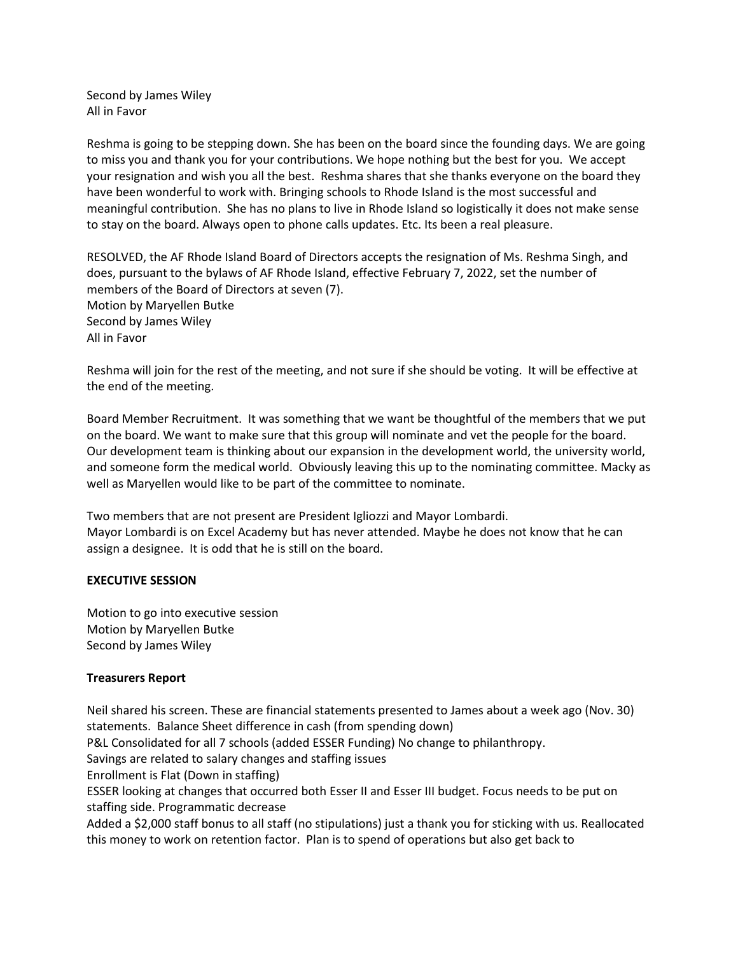Second by James Wiley All in Favor

Reshma is going to be stepping down. She has been on the board since the founding days. We are going to miss you and thank you for your contributions. We hope nothing but the best for you. We accept your resignation and wish you all the best. Reshma shares that she thanks everyone on the board they have been wonderful to work with. Bringing schools to Rhode Island is the most successful and meaningful contribution. She has no plans to live in Rhode Island so logistically it does not make sense to stay on the board. Always open to phone calls updates. Etc. Its been a real pleasure.

RESOLVED, the AF Rhode Island Board of Directors accepts the resignation of Ms. Reshma Singh, and does, pursuant to the bylaws of AF Rhode Island, effective February 7, 2022, set the number of members of the Board of Directors at seven (7). Motion by Maryellen Butke Second by James Wiley All in Favor

Reshma will join for the rest of the meeting, and not sure if she should be voting. It will be effective at the end of the meeting.

Board Member Recruitment. It was something that we want be thoughtful of the members that we put on the board. We want to make sure that this group will nominate and vet the people for the board. Our development team is thinking about our expansion in the development world, the university world, and someone form the medical world. Obviously leaving this up to the nominating committee. Macky as well as Maryellen would like to be part of the committee to nominate.

Two members that are not present are President Igliozzi and Mayor Lombardi. Mayor Lombardi is on Excel Academy but has never attended. Maybe he does not know that he can assign a designee. It is odd that he is still on the board.

### **EXECUTIVE SESSION**

Motion to go into executive session Motion by Maryellen Butke Second by James Wiley

## **Treasurers Report**

Neil shared his screen. These are financial statements presented to James about a week ago (Nov. 30) statements. Balance Sheet difference in cash (from spending down) P&L Consolidated for all 7 schools (added ESSER Funding) No change to philanthropy. Savings are related to salary changes and staffing issues Enrollment is Flat (Down in staffing) ESSER looking at changes that occurred both Esser II and Esser III budget. Focus needs to be put on staffing side. Programmatic decrease Added a \$2,000 staff bonus to all staff (no stipulations) just a thank you for sticking with us. Reallocated this money to work on retention factor. Plan is to spend of operations but also get back to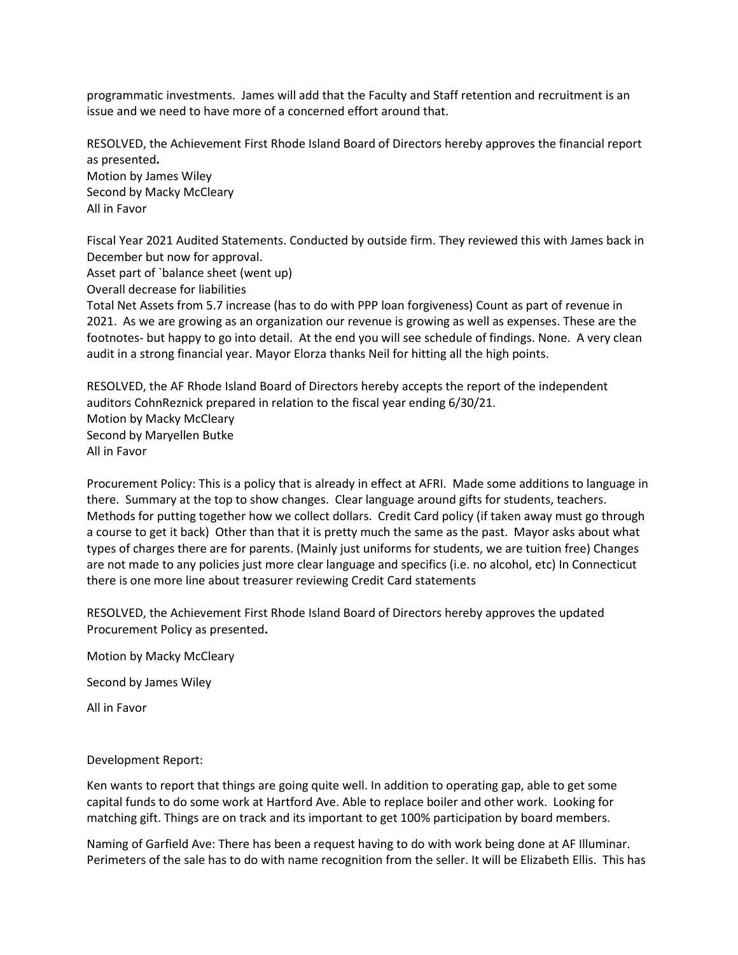programmatic investments. James will add that the Faculty and Staff retention and recruitment is an issue and we need to have more of a concerned effort around that.

RESOLVED, the Achievement First Rhode Island Board of Directors hereby approves the financial report as presented**.** Motion by James Wiley Second by Macky McCleary All in Favor

Fiscal Year 2021 Audited Statements. Conducted by outside firm. They reviewed this with James back in December but now for approval. Asset part of `balance sheet (went up) Overall decrease for liabilities Total Net Assets from 5.7 increase (has to do with PPP loan forgiveness) Count as part of revenue in 2021. As we are growing as an organization our revenue is growing as well as expenses. These are the footnotes- but happy to go into detail. At the end you will see schedule of findings. None. A very clean audit in a strong financial year. Mayor Elorza thanks Neil for hitting all the high points.

RESOLVED, the AF Rhode Island Board of Directors hereby accepts the report of the independent auditors CohnReznick prepared in relation to the fiscal year ending 6/30/21. Motion by Macky McCleary Second by Maryellen Butke All in Favor

Procurement Policy: This is a policy that is already in effect at AFRI. Made some additions to language in there. Summary at the top to show changes. Clear language around gifts for students, teachers. Methods for putting together how we collect dollars. Credit Card policy (if taken away must go through a course to get it back) Other than that it is pretty much the same as the past. Mayor asks about what types of charges there are for parents. (Mainly just uniforms for students, we are tuition free) Changes are not made to any policies just more clear language and specifics (i.e. no alcohol, etc) In Connecticut there is one more line about treasurer reviewing Credit Card statements

RESOLVED, the Achievement First Rhode Island Board of Directors hereby approves the updated Procurement Policy as presented**.**

Motion by Macky McCleary

Second by James Wiley

All in Favor

Development Report:

Ken wants to report that things are going quite well. In addition to operating gap, able to get some capital funds to do some work at Hartford Ave. Able to replace boiler and other work. Looking for matching gift. Things are on track and its important to get 100% participation by board members.

Naming of Garfield Ave: There has been a request having to do with work being done at AF Illuminar. Perimeters of the sale has to do with name recognition from the seller. It will be Elizabeth Ellis. This has